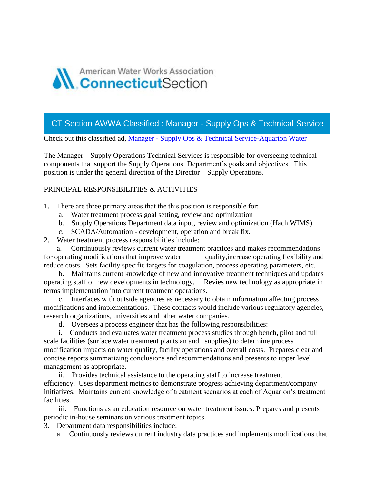

CT Section AWWA Classified : Manager - Supply Ops & Technical Service

Check out this classified ad, Manager - [Supply Ops & Technical Service-Aquarion Water](https://ctawwa.org/ad-click.php?record_number=374&url=classifieds.php?record_number=374&source=email)

The Manager – Supply Operations Technical Services is responsible for overseeing technical components that support the Supply Operations Department's goals and objectives. This position is under the general direction of the Director – Supply Operations.

## PRINCIPAL RESPONSIBILITIES & ACTIVITIES

- 1. There are three primary areas that the this position is responsible for:
	- a. Water treatment process goal setting, review and optimization
	- b. Supply Operations Department data input, review and optimization (Hach WIMS)
	- c. SCADA/Automation development, operation and break fix.
- 2. Water treatment process responsibilities include:

Continuously reviews current water treatment practices and makes recommendations for operating modifications that improve water quality, increase operating flexibility and reduce costs. Sets facility specific targets for coagulation, process operating parameters, etc.

b. Maintains current knowledge of new and innovative treatment techniques and updates operating staff of new developments in technology. Revies new technology as appropriate in terms implementation into current treatment operations.

c. Interfaces with outside agencies as necessary to obtain information affecting process modifications and implementations. These contacts would include various regulatory agencies, research organizations, universities and other water companies.

d. Oversees a process engineer that has the following responsibilities:

i. Conducts and evaluates water treatment process studies through bench, pilot and full scale facilities (surface water treatment plants an and supplies) to determine process modification impacts on water quality, facility operations and overall costs. Prepares clear and concise reports summarizing conclusions and recommendations and presents to upper level management as appropriate.

ii. Provides technical assistance to the operating staff to increase treatment efficiency. Uses department metrics to demonstrate progress achieving department/company initiatives. Maintains current knowledge of treatment scenarios at each of Aquarion's treatment facilities.

iii. Functions as an education resource on water treatment issues. Prepares and presents periodic in-house seminars on various treatment topics.

- 3. Department data responsibilities include:
	- a. Continuously reviews current industry data practices and implements modifications that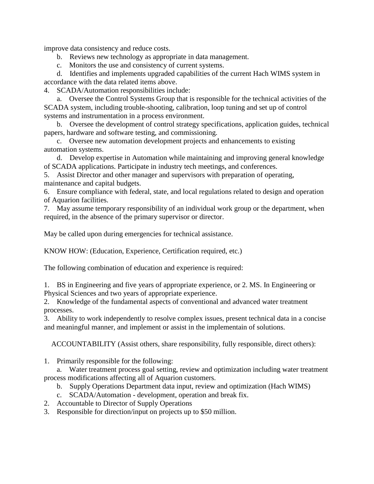improve data consistency and reduce costs.

- b. Reviews new technology as appropriate in data management.
- c. Monitors the use and consistency of current systems.

d. Identifies and implements upgraded capabilities of the current Hach WIMS system in accordance with the data related items above.

4. SCADA/Automation responsibilities include:

a. Oversee the Control Systems Group that is responsible for the technical activities of the SCADA system, including trouble-shooting, calibration, loop tuning and set up of control systems and instrumentation in a process environment.

b. Oversee the development of control strategy specifications, application guides, technical papers, hardware and software testing, and commissioning.

c. Oversee new automation development projects and enhancements to existing automation systems.

d. Develop expertise in Automation while maintaining and improving general knowledge of SCADA applications. Participate in industry tech meetings, and conferences.

5. Assist Director and other manager and supervisors with preparation of operating, maintenance and capital budgets.

6. Ensure compliance with federal, state, and local regulations related to design and operation of Aquarion facilities.

7. May assume temporary responsibility of an individual work group or the department, when required, in the absence of the primary supervisor or director.

May be called upon during emergencies for technical assistance.

KNOW HOW: (Education, Experience, Certification required, etc.)

The following combination of education and experience is required:

1. BS in Engineering and five years of appropriate experience, or 2. MS. In Engineering or Physical Sciences and two years of appropriate experience.

2. Knowledge of the fundamental aspects of conventional and advanced water treatment processes.

3. Ability to work independently to resolve complex issues, present technical data in a concise and meaningful manner, and implement or assist in the implementain of solutions.

ACCOUNTABILITY (Assist others, share responsibility, fully responsible, direct others):

1. Primarily responsible for the following:

a. Water treatment process goal setting, review and optimization including water treatment process modifications affecting all of Aquarion customers.

- b. Supply Operations Department data input, review and optimization (Hach WIMS)
- c. SCADA/Automation development, operation and break fix.
- 2. Accountable to Director of Supply Operations
- 3. Responsible for direction/input on projects up to \$50 million.